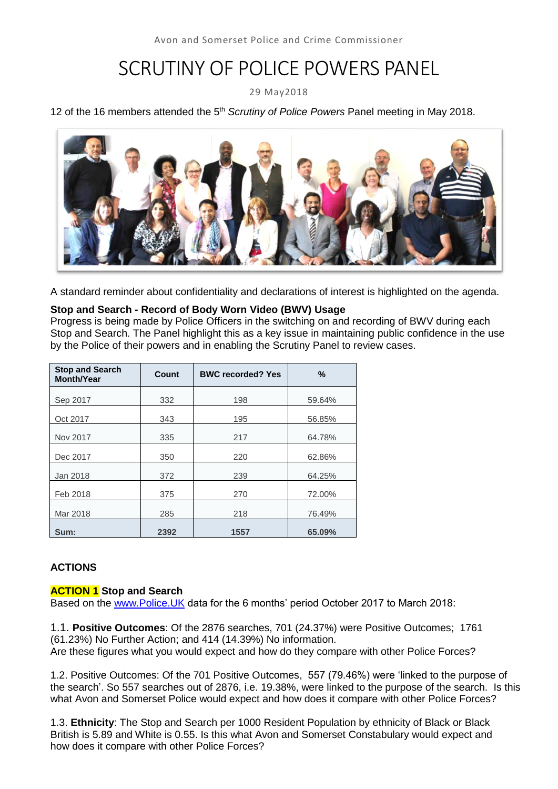# SCRUTINY OF POLICE POWERS PANEL

29 May2018

#### 12 of the 16 members attended the 5<sup>th</sup> Scrutiny of Police Powers Panel meeting in May 2018.



A standard reminder about confidentiality and declarations of interest is highlighted on the agenda.

#### **Stop and Search - Record of Body Worn Video (BWV) Usage**

Progress is being made by Police Officers in the switching on and recording of BWV during each Stop and Search. The Panel highlight this as a key issue in maintaining public confidence in the use by the Police of their powers and in enabling the Scrutiny Panel to review cases.

| <b>Stop and Search</b><br><b>Month/Year</b> | Count | <b>BWC recorded? Yes</b> | $\%$   |
|---------------------------------------------|-------|--------------------------|--------|
| Sep 2017                                    | 332   | 198                      | 59.64% |
| Oct 2017                                    | 343   | 195                      | 56.85% |
| Nov 2017                                    | 335   | 217                      | 64.78% |
| Dec 2017                                    | 350   | 220                      | 62.86% |
| Jan 2018                                    | 372   | 239                      | 64.25% |
| Feb 2018                                    | 375   | 270                      | 72.00% |
| Mar 2018                                    | 285   | 218                      | 76.49% |
| Sum:                                        | 2392  | 1557                     | 65.09% |

### **ACTIONS**

#### **ACTION 1 Stop and Search**

Based on the [www.Police.UK](http://www.police.uk/) data for the 6 months' period October 2017 to March 2018:

1.1. **Positive Outcomes**: Of the 2876 searches, 701 (24.37%) were Positive Outcomes; 1761 (61.23%) No Further Action; and 414 (14.39%) No information. Are these figures what you would expect and how do they compare with other Police Forces?

1.2. Positive Outcomes: Of the 701 Positive Outcomes, 557 (79.46%) were 'linked to the purpose of the search'. So 557 searches out of 2876, i.e. 19.38%, were linked to the purpose of the search. Is this what Avon and Somerset Police would expect and how does it compare with other Police Forces?

1.3. **Ethnicity**: The Stop and Search per 1000 Resident Population by ethnicity of Black or Black British is 5.89 and White is 0.55. Is this what Avon and Somerset Constabulary would expect and how does it compare with other Police Forces?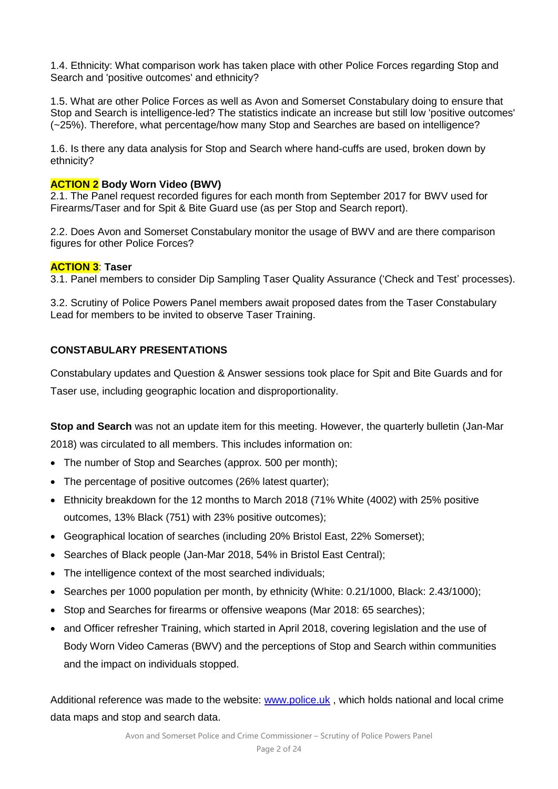1.4. Ethnicity: What comparison work has taken place with other Police Forces regarding Stop and Search and 'positive outcomes' and ethnicity?

1.5. What are other Police Forces as well as Avon and Somerset Constabulary doing to ensure that Stop and Search is intelligence-led? The statistics indicate an increase but still low 'positive outcomes' (~25%). Therefore, what percentage/how many Stop and Searches are based on intelligence?

1.6. Is there any data analysis for Stop and Search where hand-cuffs are used, broken down by ethnicity?

#### **ACTION 2 Body Worn Video (BWV)**

2.1. The Panel request recorded figures for each month from September 2017 for BWV used for Firearms/Taser and for Spit & Bite Guard use (as per Stop and Search report).

2.2. Does Avon and Somerset Constabulary monitor the usage of BWV and are there comparison figures for other Police Forces?

#### **ACTION 3**: **Taser**

3.1. Panel members to consider Dip Sampling Taser Quality Assurance ('Check and Test' processes).

3.2. Scrutiny of Police Powers Panel members await proposed dates from the Taser Constabulary Lead for members to be invited to observe Taser Training.

#### **CONSTABULARY PRESENTATIONS**

Constabulary updates and Question & Answer sessions took place for Spit and Bite Guards and for

Taser use, including geographic location and disproportionality.

**Stop and Search** was not an update item for this meeting. However, the quarterly bulletin (Jan-Mar 2018) was circulated to all members. This includes information on:

- The number of Stop and Searches (approx. 500 per month);
- The percentage of positive outcomes (26% latest quarter):
- Ethnicity breakdown for the 12 months to March 2018 (71% White (4002) with 25% positive outcomes, 13% Black (751) with 23% positive outcomes);
- Geographical location of searches (including 20% Bristol East, 22% Somerset);
- Searches of Black people (Jan-Mar 2018, 54% in Bristol East Central):
- The intelligence context of the most searched individuals;
- Searches per 1000 population per month, by ethnicity (White: 0.21/1000, Black: 2.43/1000);
- Stop and Searches for firearms or offensive weapons (Mar 2018: 65 searches);
- and Officer refresher Training, which started in April 2018, covering legislation and the use of Body Worn Video Cameras (BWV) and the perceptions of Stop and Search within communities and the impact on individuals stopped.

Additional reference was made to the website: [www.police.uk](http://www.police.uk/), which holds national and local crime data maps and stop and search data.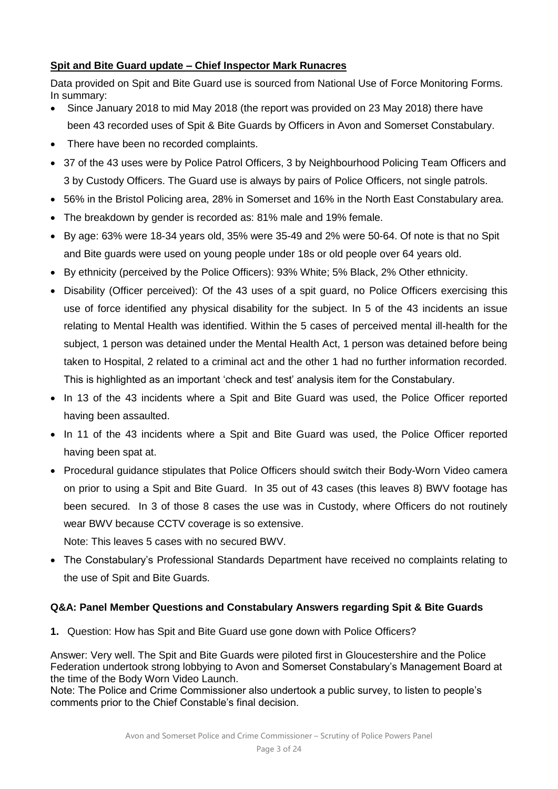### **Spit and Bite Guard update – Chief Inspector Mark Runacres**

Data provided on Spit and Bite Guard use is sourced from National Use of Force Monitoring Forms. In summary:

- Since January 2018 to mid May 2018 (the report was provided on 23 May 2018) there have been 43 recorded uses of Spit & Bite Guards by Officers in Avon and Somerset Constabulary.
- There have been no recorded complaints.
- 37 of the 43 uses were by Police Patrol Officers, 3 by Neighbourhood Policing Team Officers and 3 by Custody Officers. The Guard use is always by pairs of Police Officers, not single patrols.
- 56% in the Bristol Policing area, 28% in Somerset and 16% in the North East Constabulary area.
- The breakdown by gender is recorded as: 81% male and 19% female.
- By age: 63% were 18-34 years old, 35% were 35-49 and 2% were 50-64. Of note is that no Spit and Bite guards were used on young people under 18s or old people over 64 years old.
- By ethnicity (perceived by the Police Officers): 93% White; 5% Black, 2% Other ethnicity.
- Disability (Officer perceived): Of the 43 uses of a spit guard, no Police Officers exercising this use of force identified any physical disability for the subject. In 5 of the 43 incidents an issue relating to Mental Health was identified. Within the 5 cases of perceived mental ill-health for the subject, 1 person was detained under the Mental Health Act, 1 person was detained before being taken to Hospital, 2 related to a criminal act and the other 1 had no further information recorded. This is highlighted as an important 'check and test' analysis item for the Constabulary.
- In 13 of the 43 incidents where a Spit and Bite Guard was used, the Police Officer reported having been assaulted.
- In 11 of the 43 incidents where a Spit and Bite Guard was used, the Police Officer reported having been spat at.
- Procedural guidance stipulates that Police Officers should switch their Body-Worn Video camera on prior to using a Spit and Bite Guard. In 35 out of 43 cases (this leaves 8) BWV footage has been secured. In 3 of those 8 cases the use was in Custody, where Officers do not routinely wear BWV because CCTV coverage is so extensive.

Note: This leaves 5 cases with no secured BWV.

 The Constabulary's Professional Standards Department have received no complaints relating to the use of Spit and Bite Guards.

### **Q&A: Panel Member Questions and Constabulary Answers regarding Spit & Bite Guards**

**1.** Question: How has Spit and Bite Guard use gone down with Police Officers?

Answer: Very well. The Spit and Bite Guards were piloted first in Gloucestershire and the Police Federation undertook strong lobbying to Avon and Somerset Constabulary's Management Board at the time of the Body Worn Video Launch.

Note: The Police and Crime Commissioner also undertook a public survey, to listen to people's comments prior to the Chief Constable's final decision.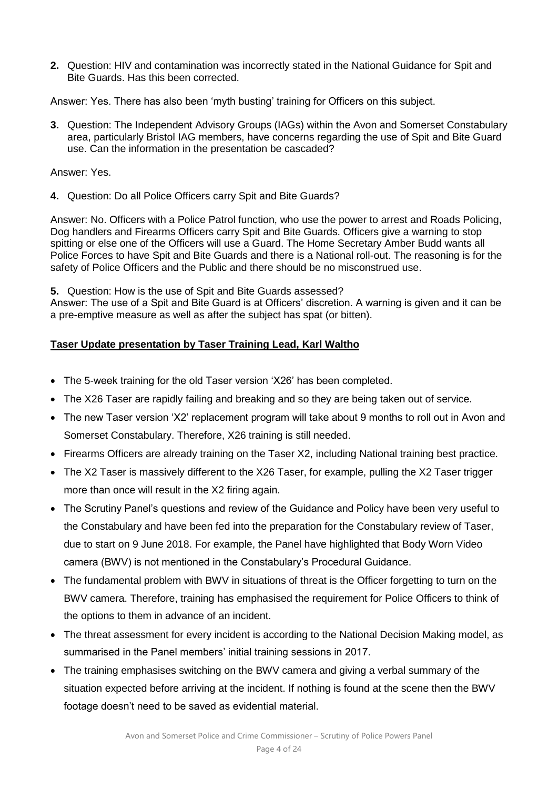**2.** Question: HIV and contamination was incorrectly stated in the National Guidance for Spit and Bite Guards. Has this been corrected.

Answer: Yes. There has also been 'myth busting' training for Officers on this subject.

**3.** Question: The Independent Advisory Groups (IAGs) within the Avon and Somerset Constabulary area, particularly Bristol IAG members, have concerns regarding the use of Spit and Bite Guard use. Can the information in the presentation be cascaded?

Answer: Yes.

**4.** Question: Do all Police Officers carry Spit and Bite Guards?

Answer: No. Officers with a Police Patrol function, who use the power to arrest and Roads Policing, Dog handlers and Firearms Officers carry Spit and Bite Guards. Officers give a warning to stop spitting or else one of the Officers will use a Guard. The Home Secretary Amber Budd wants all Police Forces to have Spit and Bite Guards and there is a National roll-out. The reasoning is for the safety of Police Officers and the Public and there should be no misconstrued use.

**5.** Question: How is the use of Spit and Bite Guards assessed?

Answer: The use of a Spit and Bite Guard is at Officers' discretion. A warning is given and it can be a pre-emptive measure as well as after the subject has spat (or bitten).

### **Taser Update presentation by Taser Training Lead, Karl Waltho**

- The 5-week training for the old Taser version 'X26' has been completed.
- The X26 Taser are rapidly failing and breaking and so they are being taken out of service.
- The new Taser version 'X2' replacement program will take about 9 months to roll out in Avon and Somerset Constabulary. Therefore, X26 training is still needed.
- Firearms Officers are already training on the Taser X2, including National training best practice.
- The X2 Taser is massively different to the X26 Taser, for example, pulling the X2 Taser trigger more than once will result in the X2 firing again.
- The Scrutiny Panel's questions and review of the Guidance and Policy have been very useful to the Constabulary and have been fed into the preparation for the Constabulary review of Taser, due to start on 9 June 2018. For example, the Panel have highlighted that Body Worn Video camera (BWV) is not mentioned in the Constabulary's Procedural Guidance.
- The fundamental problem with BWV in situations of threat is the Officer forgetting to turn on the BWV camera. Therefore, training has emphasised the requirement for Police Officers to think of the options to them in advance of an incident.
- The threat assessment for every incident is according to the National Decision Making model, as summarised in the Panel members' initial training sessions in 2017.
- The training emphasises switching on the BWV camera and giving a verbal summary of the situation expected before arriving at the incident. If nothing is found at the scene then the BWV footage doesn't need to be saved as evidential material.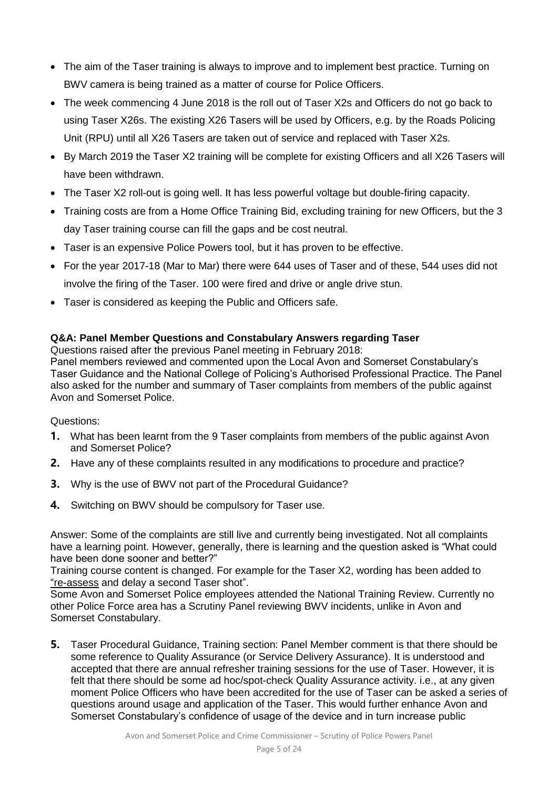- The aim of the Taser training is always to improve and to implement best practice. Turning on BWV camera is being trained as a matter of course for Police Officers.
- The week commencing 4 June 2018 is the roll out of Taser X2s and Officers do not go back to using Taser X26s. The existing X26 Tasers will be used by Officers, e.g. by the Roads Policing Unit (RPU) until all X26 Tasers are taken out of service and replaced with Taser X2s.
- By March 2019 the Taser X2 training will be complete for existing Officers and all X26 Tasers will have been withdrawn.
- The Taser X2 roll-out is going well. It has less powerful voltage but double-firing capacity.
- Training costs are from a Home Office Training Bid, excluding training for new Officers, but the 3 day Taser training course can fill the gaps and be cost neutral.
- Taser is an expensive Police Powers tool, but it has proven to be effective.
- For the year 2017-18 (Mar to Mar) there were 644 uses of Taser and of these, 544 uses did not involve the firing of the Taser. 100 were fired and drive or angle drive stun.
- Taser is considered as keeping the Public and Officers safe.

### **Q&A: Panel Member Questions and Constabulary Answers regarding Taser**

Questions raised after the previous Panel meeting in February 2018:

Panel members reviewed and commented upon the Local Avon and Somerset Constabulary's Taser Guidance and the National College of Policing's Authorised Professional Practice. The Panel also asked for the number and summary of Taser complaints from members of the public against Avon and Somerset Police.

#### Questions:

- **1.** What has been learnt from the 9 Taser complaints from members of the public against Avon and Somerset Police?
- **2.** Have any of these complaints resulted in any modifications to procedure and practice?
- **3.** Why is the use of BWV not part of the Procedural Guidance?
- **4.** Switching on BWV should be compulsory for Taser use.

Answer: Some of the complaints are still live and currently being investigated. Not all complaints have a learning point. However, generally, there is learning and the question asked is "What could have been done sooner and better?"

Training course content is changed. For example for the Taser X2, wording has been added to "re-assess and delay a second Taser shot".

Some Avon and Somerset Police employees attended the National Training Review. Currently no other Police Force area has a Scrutiny Panel reviewing BWV incidents, unlike in Avon and Somerset Constabulary.

**5.** Taser Procedural Guidance, Training section: Panel Member comment is that there should be some reference to Quality Assurance (or Service Delivery Assurance). It is understood and accepted that there are annual refresher training sessions for the use of Taser. However, it is felt that there should be some ad hoc/spot-check Quality Assurance activity. i.e., at any given moment Police Officers who have been accredited for the use of Taser can be asked a series of questions around usage and application of the Taser. This would further enhance Avon and Somerset Constabulary's confidence of usage of the device and in turn increase public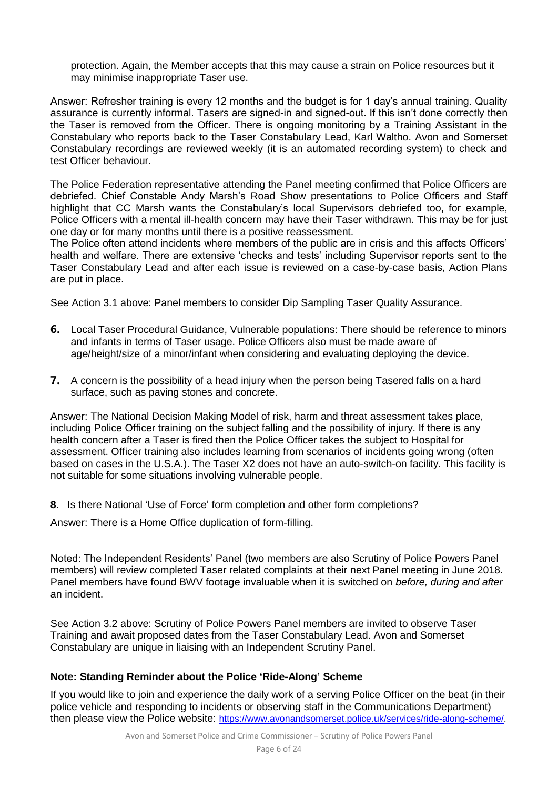protection. Again, the Member accepts that this may cause a strain on Police resources but it may minimise inappropriate Taser use.

Answer: Refresher training is every 12 months and the budget is for 1 day's annual training. Quality assurance is currently informal. Tasers are signed-in and signed-out. If this isn't done correctly then the Taser is removed from the Officer. There is ongoing monitoring by a Training Assistant in the Constabulary who reports back to the Taser Constabulary Lead, Karl Waltho. Avon and Somerset Constabulary recordings are reviewed weekly (it is an automated recording system) to check and test Officer behaviour.

The Police Federation representative attending the Panel meeting confirmed that Police Officers are debriefed. Chief Constable Andy Marsh's Road Show presentations to Police Officers and Staff highlight that CC Marsh wants the Constabulary's local Supervisors debriefed too, for example, Police Officers with a mental ill-health concern may have their Taser withdrawn. This may be for just one day or for many months until there is a positive reassessment.

The Police often attend incidents where members of the public are in crisis and this affects Officers' health and welfare. There are extensive 'checks and tests' including Supervisor reports sent to the Taser Constabulary Lead and after each issue is reviewed on a case-by-case basis, Action Plans are put in place.

See Action 3.1 above: Panel members to consider Dip Sampling Taser Quality Assurance.

- **6.** Local Taser Procedural Guidance, Vulnerable populations: There should be reference to minors and infants in terms of Taser usage. Police Officers also must be made aware of age/height/size of a minor/infant when considering and evaluating deploying the device.
- **7.** A concern is the possibility of a head injury when the person being Tasered falls on a hard surface, such as paving stones and concrete.

Answer: The National Decision Making Model of risk, harm and threat assessment takes place, including Police Officer training on the subject falling and the possibility of injury. If there is any health concern after a Taser is fired then the Police Officer takes the subject to Hospital for assessment. Officer training also includes learning from scenarios of incidents going wrong (often based on cases in the U.S.A.). The Taser X2 does not have an auto-switch-on facility. This facility is not suitable for some situations involving vulnerable people.

**8.** Is there National 'Use of Force' form completion and other form completions?

Answer: There is a Home Office duplication of form-filling.

Noted: The Independent Residents' Panel (two members are also Scrutiny of Police Powers Panel members) will review completed Taser related complaints at their next Panel meeting in June 2018. Panel members have found BWV footage invaluable when it is switched on *before, during and after* an incident.

See Action 3.2 above: Scrutiny of Police Powers Panel members are invited to observe Taser Training and await proposed dates from the Taser Constabulary Lead. Avon and Somerset Constabulary are unique in liaising with an Independent Scrutiny Panel.

#### **Note: Standing Reminder about the Police 'Ride-Along' Scheme**

If you would like to join and experience the daily work of a serving Police Officer on the beat (in their police vehicle and responding to incidents or observing staff in the Communications Department) then please view the Police website: [https://www.avonandsomerset.police.uk/services/ride-along-scheme/.](https://www.avonandsomerset.police.uk/services/ride-along-scheme/)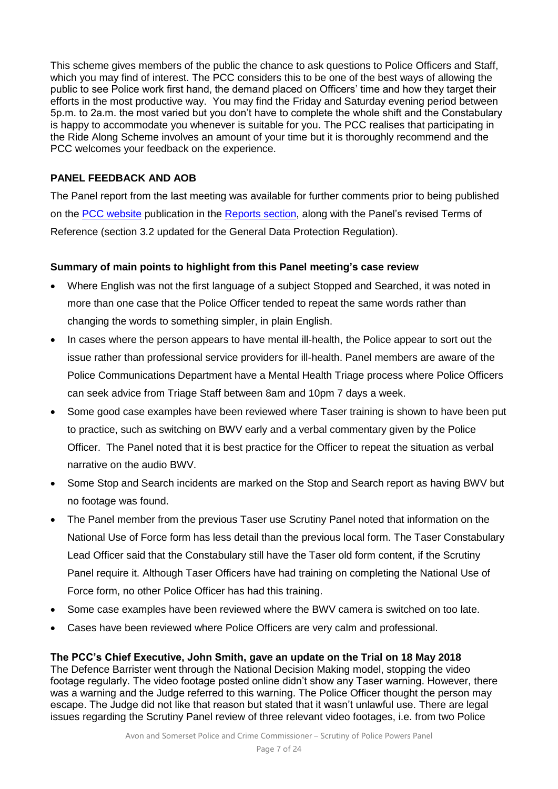This scheme gives members of the public the chance to ask questions to Police Officers and Staff, which you may find of interest. The PCC considers this to be one of the best ways of allowing the public to see Police work first hand, the demand placed on Officers' time and how they target their efforts in the most productive way. You may find the Friday and Saturday evening period between 5p.m. to 2a.m. the most varied but you don't have to complete the whole shift and the Constabulary is happy to accommodate you whenever is suitable for you. The PCC realises that participating in the Ride Along Scheme involves an amount of your time but it is thoroughly recommend and the PCC welcomes your feedback on the experience.

#### **PANEL FEEDBACK AND AOB**

The Panel report from the last meeting was available for further comments prior to being published on the [PCC website](http://www.avonandsomerset-pcc.gov.uk/Openness/Scrutiny.aspx) publication in the [Reports section,](http://www.avonandsomerset-pcc.gov.uk/Openness/Scrutiny/Scrutiny-of-Police-Powers-Panel-Reports.aspx) along with the Panel's revised Terms of Reference (section 3.2 updated for the General Data Protection Regulation).

#### **Summary of main points to highlight from this Panel meeting's case review**

- Where English was not the first language of a subject Stopped and Searched, it was noted in more than one case that the Police Officer tended to repeat the same words rather than changing the words to something simpler, in plain English.
- In cases where the person appears to have mental ill-health, the Police appear to sort out the issue rather than professional service providers for ill-health. Panel members are aware of the Police Communications Department have a Mental Health Triage process where Police Officers can seek advice from Triage Staff between 8am and 10pm 7 days a week.
- Some good case examples have been reviewed where Taser training is shown to have been put to practice, such as switching on BWV early and a verbal commentary given by the Police Officer. The Panel noted that it is best practice for the Officer to repeat the situation as verbal narrative on the audio BWV.
- Some Stop and Search incidents are marked on the Stop and Search report as having BWV but no footage was found.
- The Panel member from the previous Taser use Scrutiny Panel noted that information on the National Use of Force form has less detail than the previous local form. The Taser Constabulary Lead Officer said that the Constabulary still have the Taser old form content, if the Scrutiny Panel require it. Although Taser Officers have had training on completing the National Use of Force form, no other Police Officer has had this training.
- Some case examples have been reviewed where the BWV camera is switched on too late.
- Cases have been reviewed where Police Officers are very calm and professional.

### **The PCC's Chief Executive, John Smith, gave an update on the Trial on 18 May 2018**

The Defence Barrister went through the National Decision Making model, stopping the video footage regularly. The video footage posted online didn't show any Taser warning. However, there was a warning and the Judge referred to this warning. The Police Officer thought the person may escape. The Judge did not like that reason but stated that it wasn't unlawful use. There are legal issues regarding the Scrutiny Panel review of three relevant video footages, i.e. from two Police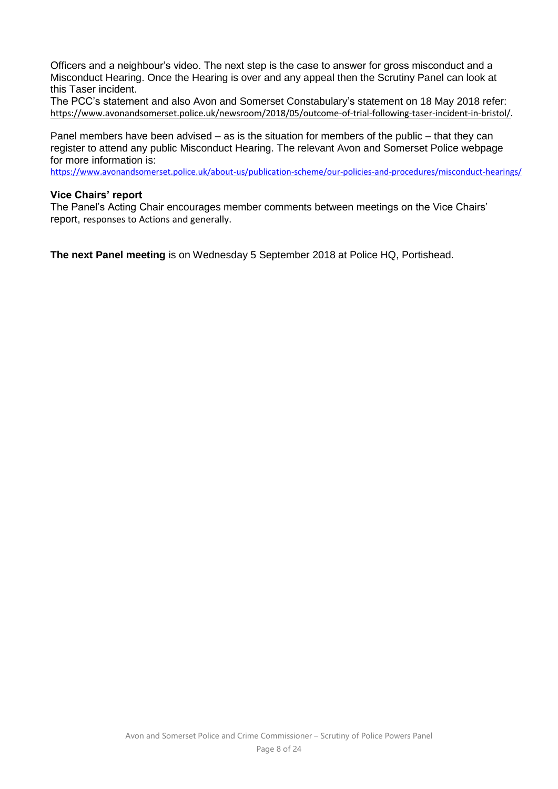Officers and a neighbour's video. The next step is the case to answer for gross misconduct and a Misconduct Hearing. Once the Hearing is over and any appeal then the Scrutiny Panel can look at this Taser incident.

The PCC's statement and also Avon and Somerset Constabulary's statement on 18 May 2018 refer: [https://www.avonandsomerset.police.uk/newsroom/2018/05/outcome-of-trial-following-taser-incident-in-bristol/.](https://www.avonandsomerset.police.uk/newsroom/2018/05/outcome-of-trial-following-taser-incident-in-bristol/)

Panel members have been advised – as is the situation for members of the public – that they can register to attend any public Misconduct Hearing. The relevant Avon and Somerset Police webpage for more information is:

<https://www.avonandsomerset.police.uk/about-us/publication-scheme/our-policies-and-procedures/misconduct-hearings/>

#### **Vice Chairs' report**

The Panel's Acting Chair encourages member comments between meetings on the Vice Chairs' report, responses to Actions and generally.

**The next Panel meeting** is on Wednesday 5 September 2018 at Police HQ, Portishead.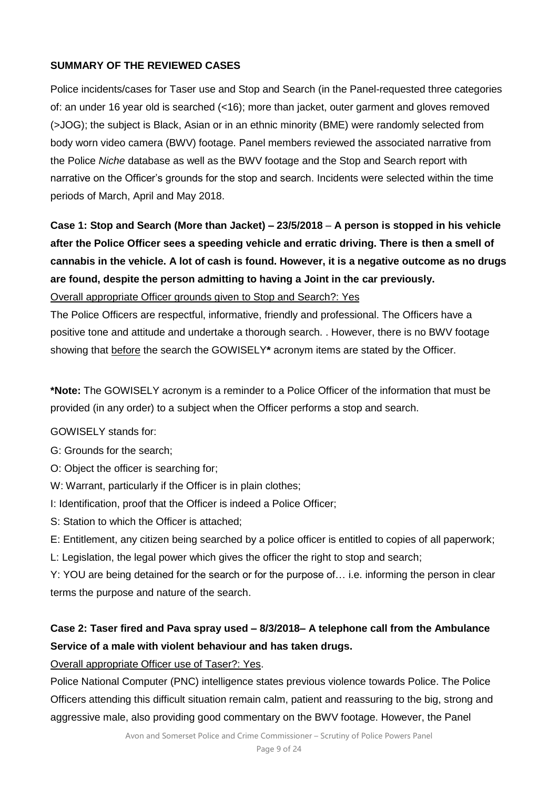### **SUMMARY OF THE REVIEWED CASES**

Police incidents/cases for Taser use and Stop and Search (in the Panel-requested three categories of: an under 16 year old is searched (<16); more than jacket, outer garment and gloves removed (>JOG); the subject is Black, Asian or in an ethnic minority (BME) were randomly selected from body worn video camera (BWV) footage. Panel members reviewed the associated narrative from the Police *Niche* database as well as the BWV footage and the Stop and Search report with narrative on the Officer's grounds for the stop and search. Incidents were selected within the time periods of March, April and May 2018.

# **Case 1: Stop and Search (More than Jacket) – 23/5/2018** – **A person is stopped in his vehicle after the Police Officer sees a speeding vehicle and erratic driving. There is then a smell of cannabis in the vehicle. A lot of cash is found. However, it is a negative outcome as no drugs are found, despite the person admitting to having a Joint in the car previously.**

Overall appropriate Officer grounds given to Stop and Search?: Yes

The Police Officers are respectful, informative, friendly and professional. The Officers have a positive tone and attitude and undertake a thorough search. . However, there is no BWV footage showing that before the search the GOWISELY**\*** acronym items are stated by the Officer.

**\*Note:** The GOWISELY acronym is a reminder to a Police Officer of the information that must be provided (in any order) to a subject when the Officer performs a stop and search.

GOWISELY stands for:

- G: Grounds for the search;
- O: Object the officer is searching for;
- W: Warrant, particularly if the Officer is in plain clothes;
- I: Identification, proof that the Officer is indeed a Police Officer;
- S: Station to which the Officer is attached;
- E: Entitlement, any citizen being searched by a police officer is entitled to copies of all paperwork;
- L: Legislation, the legal power which gives the officer the right to stop and search;

Y: YOU are being detained for the search or for the purpose of… i.e. informing the person in clear terms the purpose and nature of the search.

### **Case 2: Taser fired and Pava spray used – 8/3/2018– A telephone call from the Ambulance Service of a male with violent behaviour and has taken drugs.**

Overall appropriate Officer use of Taser?: Yes.

Police National Computer (PNC) intelligence states previous violence towards Police. The Police Officers attending this difficult situation remain calm, patient and reassuring to the big, strong and aggressive male, also providing good commentary on the BWV footage. However, the Panel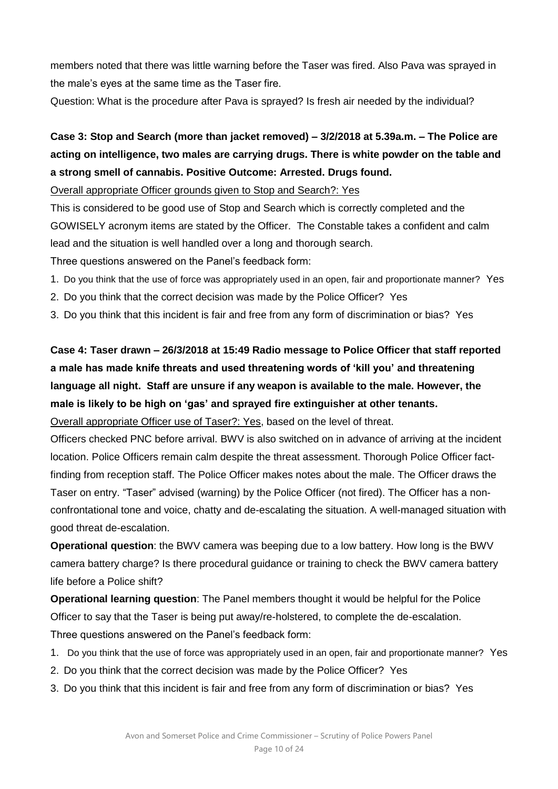members noted that there was little warning before the Taser was fired. Also Pava was sprayed in the male's eyes at the same time as the Taser fire.

Question: What is the procedure after Pava is sprayed? Is fresh air needed by the individual?

# **Case 3: Stop and Search (more than jacket removed) – 3/2/2018 at 5.39a.m. – The Police are acting on intelligence, two males are carrying drugs. There is white powder on the table and a strong smell of cannabis. Positive Outcome: Arrested. Drugs found.**

Overall appropriate Officer grounds given to Stop and Search?: Yes

This is considered to be good use of Stop and Search which is correctly completed and the GOWISELY acronym items are stated by the Officer. The Constable takes a confident and calm lead and the situation is well handled over a long and thorough search.

Three questions answered on the Panel's feedback form:

- 1. Do you think that the use of force was appropriately used in an open, fair and proportionate manner? Yes
- 2. Do you think that the correct decision was made by the Police Officer? Yes
- 3. Do you think that this incident is fair and free from any form of discrimination or bias? Yes

# **Case 4: Taser drawn – 26/3/2018 at 15:49 Radio message to Police Officer that staff reported a male has made knife threats and used threatening words of 'kill you' and threatening language all night. Staff are unsure if any weapon is available to the male. However, the male is likely to be high on 'gas' and sprayed fire extinguisher at other tenants.**

Overall appropriate Officer use of Taser?: Yes, based on the level of threat.

Officers checked PNC before arrival. BWV is also switched on in advance of arriving at the incident location. Police Officers remain calm despite the threat assessment. Thorough Police Officer factfinding from reception staff. The Police Officer makes notes about the male. The Officer draws the Taser on entry. "Taser" advised (warning) by the Police Officer (not fired). The Officer has a nonconfrontational tone and voice, chatty and de-escalating the situation. A well-managed situation with good threat de-escalation.

**Operational question**: the BWV camera was beeping due to a low battery. How long is the BWV camera battery charge? Is there procedural guidance or training to check the BWV camera battery life before a Police shift?

**Operational learning question**: The Panel members thought it would be helpful for the Police Officer to say that the Taser is being put away/re-holstered, to complete the de-escalation. Three questions answered on the Panel's feedback form:

- 1. Do you think that the use of force was appropriately used in an open, fair and proportionate manner? Yes
- 2. Do you think that the correct decision was made by the Police Officer? Yes
- 3. Do you think that this incident is fair and free from any form of discrimination or bias? Yes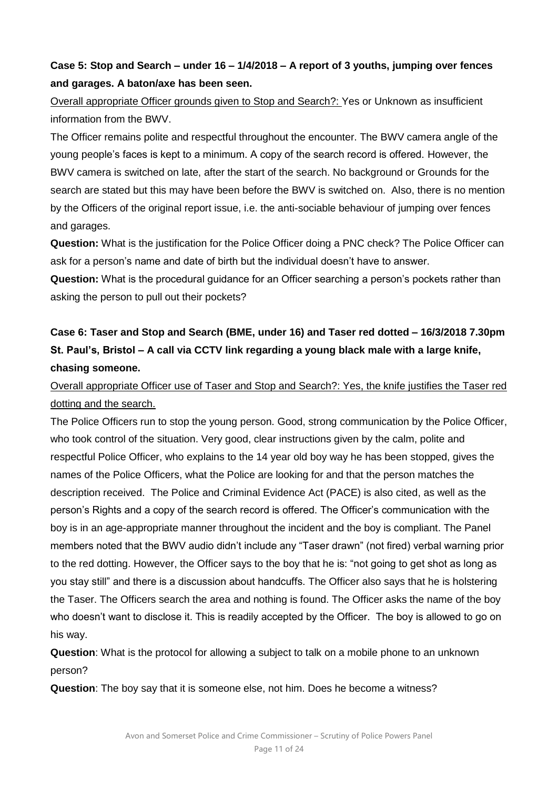### **Case 5: Stop and Search – under 16 – 1/4/2018 – A report of 3 youths, jumping over fences and garages. A baton/axe has been seen.**

Overall appropriate Officer grounds given to Stop and Search?: Yes or Unknown as insufficient information from the BWV.

The Officer remains polite and respectful throughout the encounter. The BWV camera angle of the young people's faces is kept to a minimum. A copy of the search record is offered. However, the BWV camera is switched on late, after the start of the search. No background or Grounds for the search are stated but this may have been before the BWV is switched on. Also, there is no mention by the Officers of the original report issue, i.e. the anti-sociable behaviour of jumping over fences and garages.

**Question:** What is the justification for the Police Officer doing a PNC check? The Police Officer can ask for a person's name and date of birth but the individual doesn't have to answer.

**Question:** What is the procedural guidance for an Officer searching a person's pockets rather than asking the person to pull out their pockets?

# **Case 6: Taser and Stop and Search (BME, under 16) and Taser red dotted – 16/3/2018 7.30pm St. Paul's, Bristol – A call via CCTV link regarding a young black male with a large knife, chasing someone.**

### Overall appropriate Officer use of Taser and Stop and Search?: Yes, the knife justifies the Taser red dotting and the search.

The Police Officers run to stop the young person. Good, strong communication by the Police Officer, who took control of the situation. Very good, clear instructions given by the calm, polite and respectful Police Officer, who explains to the 14 year old boy way he has been stopped, gives the names of the Police Officers, what the Police are looking for and that the person matches the description received. The Police and Criminal Evidence Act (PACE) is also cited, as well as the person's Rights and a copy of the search record is offered. The Officer's communication with the boy is in an age-appropriate manner throughout the incident and the boy is compliant. The Panel members noted that the BWV audio didn't include any "Taser drawn" (not fired) verbal warning prior to the red dotting. However, the Officer says to the boy that he is: "not going to get shot as long as you stay still" and there is a discussion about handcuffs. The Officer also says that he is holstering the Taser. The Officers search the area and nothing is found. The Officer asks the name of the boy who doesn't want to disclose it. This is readily accepted by the Officer. The boy is allowed to go on his way.

**Question**: What is the protocol for allowing a subject to talk on a mobile phone to an unknown person?

**Question**: The boy say that it is someone else, not him. Does he become a witness?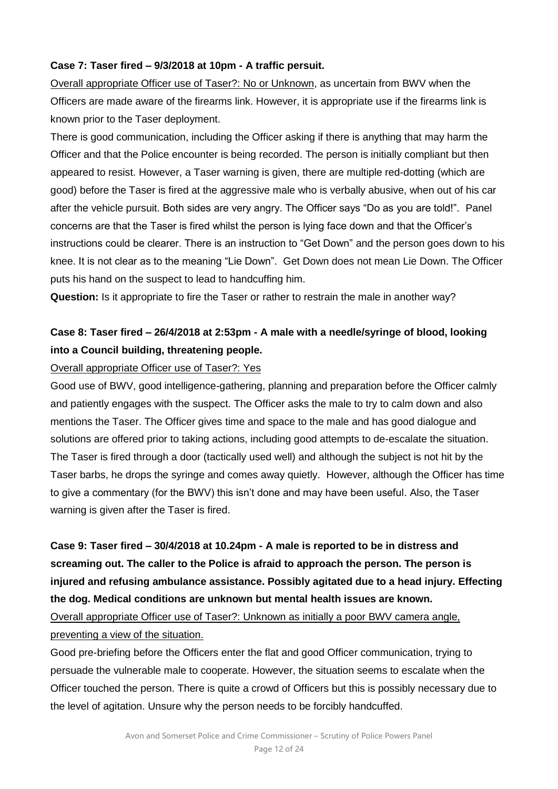### **Case 7: Taser fired – 9/3/2018 at 10pm - A traffic persuit.**

Overall appropriate Officer use of Taser?: No or Unknown, as uncertain from BWV when the Officers are made aware of the firearms link. However, it is appropriate use if the firearms link is known prior to the Taser deployment.

There is good communication, including the Officer asking if there is anything that may harm the Officer and that the Police encounter is being recorded. The person is initially compliant but then appeared to resist. However, a Taser warning is given, there are multiple red-dotting (which are good) before the Taser is fired at the aggressive male who is verbally abusive, when out of his car after the vehicle pursuit. Both sides are very angry. The Officer says "Do as you are told!". Panel concerns are that the Taser is fired whilst the person is lying face down and that the Officer's instructions could be clearer. There is an instruction to "Get Down" and the person goes down to his knee. It is not clear as to the meaning "Lie Down". Get Down does not mean Lie Down. The Officer puts his hand on the suspect to lead to handcuffing him.

**Question:** Is it appropriate to fire the Taser or rather to restrain the male in another way?

### **Case 8: Taser fired – 26/4/2018 at 2:53pm - A male with a needle/syringe of blood, looking into a Council building, threatening people.**

#### Overall appropriate Officer use of Taser?: Yes

Good use of BWV, good intelligence-gathering, planning and preparation before the Officer calmly and patiently engages with the suspect. The Officer asks the male to try to calm down and also mentions the Taser. The Officer gives time and space to the male and has good dialogue and solutions are offered prior to taking actions, including good attempts to de-escalate the situation. The Taser is fired through a door (tactically used well) and although the subject is not hit by the Taser barbs, he drops the syringe and comes away quietly. However, although the Officer has time to give a commentary (for the BWV) this isn't done and may have been useful. Also, the Taser warning is given after the Taser is fired.

**Case 9: Taser fired – 30/4/2018 at 10.24pm - A male is reported to be in distress and screaming out. The caller to the Police is afraid to approach the person. The person is injured and refusing ambulance assistance. Possibly agitated due to a head injury. Effecting the dog. Medical conditions are unknown but mental health issues are known.**

Overall appropriate Officer use of Taser?: Unknown as initially a poor BWV camera angle, preventing a view of the situation.

Good pre-briefing before the Officers enter the flat and good Officer communication, trying to persuade the vulnerable male to cooperate. However, the situation seems to escalate when the Officer touched the person. There is quite a crowd of Officers but this is possibly necessary due to the level of agitation. Unsure why the person needs to be forcibly handcuffed.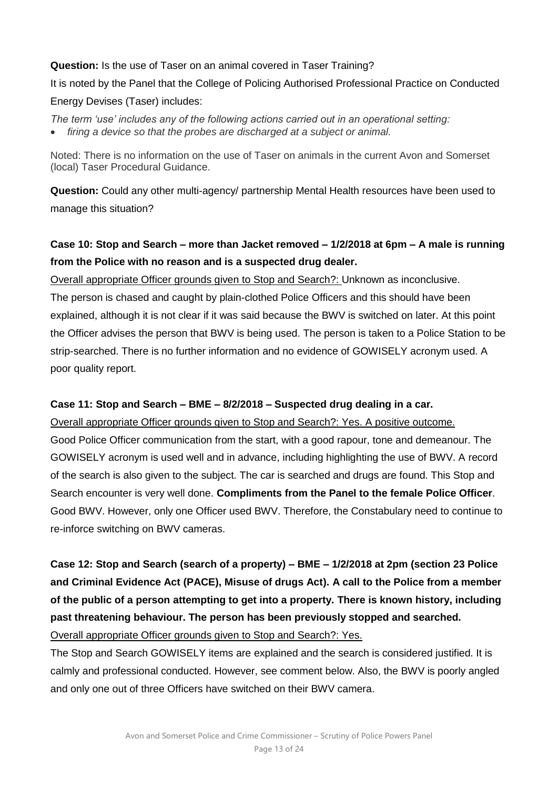# **Question:** Is the use of Taser on an animal covered in Taser Training?

It is noted by the Panel that the College of Policing Authorised Professional Practice on Conducted Energy Devises (Taser) includes:

*The term 'use' includes any of the following actions carried out in an operational setting: firing a device so that the probes are discharged at a subject or animal.*

Noted: There is no information on the use of Taser on animals in the current Avon and Somerset (local) Taser Procedural Guidance.

**Question:** Could any other multi-agency/ partnership Mental Health resources have been used to manage this situation?

### **Case 10: Stop and Search – more than Jacket removed – 1/2/2018 at 6pm – A male is running from the Police with no reason and is a suspected drug dealer.**

Overall appropriate Officer grounds given to Stop and Search?: Unknown as inconclusive. The person is chased and caught by plain-clothed Police Officers and this should have been explained, although it is not clear if it was said because the BWV is switched on later. At this point the Officer advises the person that BWV is being used. The person is taken to a Police Station to be strip-searched. There is no further information and no evidence of GOWISELY acronym used. A poor quality report.

### **Case 11: Stop and Search – BME – 8/2/2018 – Suspected drug dealing in a car.**

Overall appropriate Officer grounds given to Stop and Search?: Yes. A positive outcome. Good Police Officer communication from the start, with a good rapour, tone and demeanour. The GOWISELY acronym is used well and in advance, including highlighting the use of BWV. A record of the search is also given to the subject. The car is searched and drugs are found. This Stop and Search encounter is very well done. **Compliments from the Panel to the female Police Officer**. Good BWV. However, only one Officer used BWV. Therefore, the Constabulary need to continue to re-inforce switching on BWV cameras.

**Case 12: Stop and Search (search of a property) – BME – 1/2/2018 at 2pm (section 23 Police and Criminal Evidence Act (PACE), Misuse of drugs Act). A call to the Police from a member of the public of a person attempting to get into a property. There is known history, including past threatening behaviour. The person has been previously stopped and searched.**

Overall appropriate Officer grounds given to Stop and Search?: Yes.

The Stop and Search GOWISELY items are explained and the search is considered justified. It is calmly and professional conducted. However, see comment below. Also, the BWV is poorly angled and only one out of three Officers have switched on their BWV camera.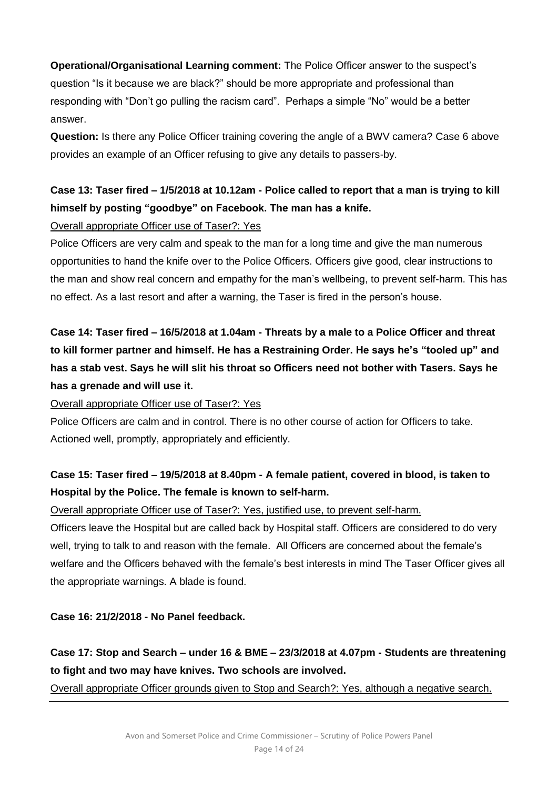**Operational/Organisational Learning comment:** The Police Officer answer to the suspect's question "Is it because we are black?" should be more appropriate and professional than responding with "Don't go pulling the racism card". Perhaps a simple "No" would be a better answer.

**Question:** Is there any Police Officer training covering the angle of a BWV camera? Case 6 above provides an example of an Officer refusing to give any details to passers-by.

# **Case 13: Taser fired – 1/5/2018 at 10.12am - Police called to report that a man is trying to kill himself by posting "goodbye" on Facebook. The man has a knife.**

### Overall appropriate Officer use of Taser?: Yes

Police Officers are very calm and speak to the man for a long time and give the man numerous opportunities to hand the knife over to the Police Officers. Officers give good, clear instructions to the man and show real concern and empathy for the man's wellbeing, to prevent self-harm. This has no effect. As a last resort and after a warning, the Taser is fired in the person's house.

**Case 14: Taser fired – 16/5/2018 at 1.04am - Threats by a male to a Police Officer and threat to kill former partner and himself. He has a Restraining Order. He says he's "tooled up" and has a stab vest. Says he will slit his throat so Officers need not bother with Tasers. Says he has a grenade and will use it.** 

Overall appropriate Officer use of Taser?: Yes

Police Officers are calm and in control. There is no other course of action for Officers to take. Actioned well, promptly, appropriately and efficiently.

### **Case 15: Taser fired – 19/5/2018 at 8.40pm - A female patient, covered in blood, is taken to Hospital by the Police. The female is known to self-harm.**

Overall appropriate Officer use of Taser?: Yes, justified use, to prevent self-harm.

Officers leave the Hospital but are called back by Hospital staff. Officers are considered to do very well, trying to talk to and reason with the female. All Officers are concerned about the female's welfare and the Officers behaved with the female's best interests in mind The Taser Officer gives all the appropriate warnings. A blade is found.

### **Case 16: 21/2/2018 - No Panel feedback.**

# **Case 17: Stop and Search – under 16 & BME – 23/3/2018 at 4.07pm - Students are threatening to fight and two may have knives. Two schools are involved.**

Overall appropriate Officer grounds given to Stop and Search?: Yes, although a negative search.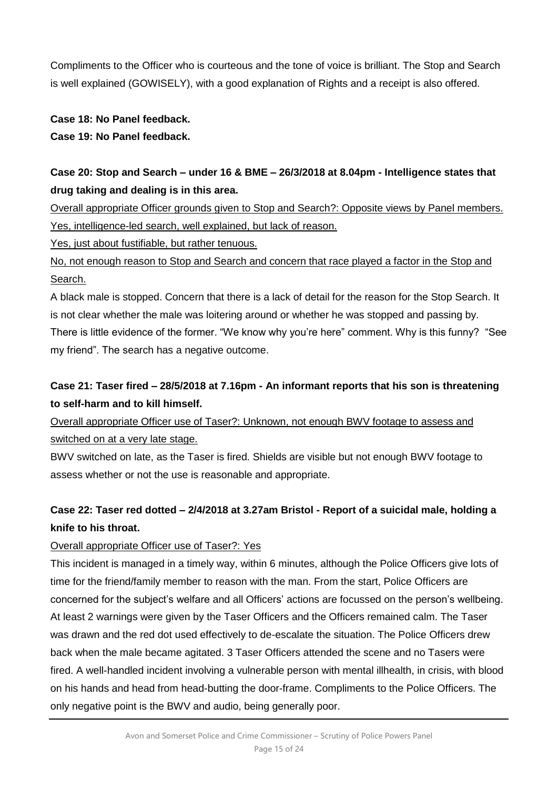Compliments to the Officer who is courteous and the tone of voice is brilliant. The Stop and Search is well explained (GOWISELY), with a good explanation of Rights and a receipt is also offered.

### **Case 18: No Panel feedback.**

### **Case 19: No Panel feedback.**

# **Case 20: Stop and Search – under 16 & BME – 26/3/2018 at 8.04pm - Intelligence states that drug taking and dealing is in this area.**

Overall appropriate Officer grounds given to Stop and Search?: Opposite views by Panel members. Yes, intelligence-led search, well explained, but lack of reason.

Yes, just about fustifiable, but rather tenuous.

No, not enough reason to Stop and Search and concern that race played a factor in the Stop and Search.

A black male is stopped. Concern that there is a lack of detail for the reason for the Stop Search. It is not clear whether the male was loitering around or whether he was stopped and passing by. There is little evidence of the former. "We know why you're here" comment. Why is this funny? "See my friend". The search has a negative outcome.

# **Case 21: Taser fired – 28/5/2018 at 7.16pm - An informant reports that his son is threatening to self-harm and to kill himself.**

Overall appropriate Officer use of Taser?: Unknown, not enough BWV footage to assess and switched on at a very late stage.

BWV switched on late, as the Taser is fired. Shields are visible but not enough BWV footage to assess whether or not the use is reasonable and appropriate.

# **Case 22: Taser red dotted – 2/4/2018 at 3.27am Bristol - Report of a suicidal male, holding a knife to his throat.**

### Overall appropriate Officer use of Taser?: Yes

This incident is managed in a timely way, within 6 minutes, although the Police Officers give lots of time for the friend/family member to reason with the man. From the start, Police Officers are concerned for the subject's welfare and all Officers' actions are focussed on the person's wellbeing. At least 2 warnings were given by the Taser Officers and the Officers remained calm. The Taser was drawn and the red dot used effectively to de-escalate the situation. The Police Officers drew back when the male became agitated. 3 Taser Officers attended the scene and no Tasers were fired. A well-handled incident involving a vulnerable person with mental illhealth, in crisis, with blood on his hands and head from head-butting the door-frame. Compliments to the Police Officers. The only negative point is the BWV and audio, being generally poor.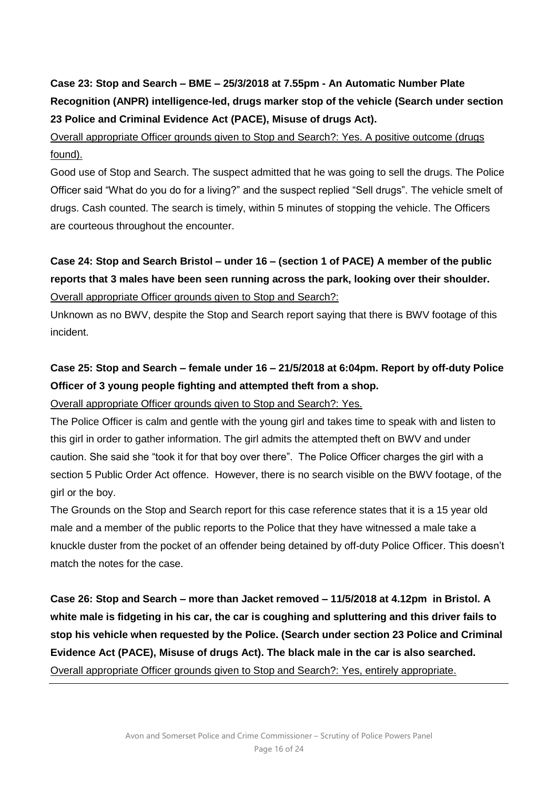# **Case 23: Stop and Search – BME – 25/3/2018 at 7.55pm - An Automatic Number Plate Recognition (ANPR) intelligence-led, drugs marker stop of the vehicle (Search under section 23 Police and Criminal Evidence Act (PACE), Misuse of drugs Act).**

# Overall appropriate Officer grounds given to Stop and Search?: Yes. A positive outcome (drugs found).

Good use of Stop and Search. The suspect admitted that he was going to sell the drugs. The Police Officer said "What do you do for a living?" and the suspect replied "Sell drugs". The vehicle smelt of drugs. Cash counted. The search is timely, within 5 minutes of stopping the vehicle. The Officers are courteous throughout the encounter.

# **Case 24: Stop and Search Bristol – under 16 – (section 1 of PACE) A member of the public reports that 3 males have been seen running across the park, looking over their shoulder.**  Overall appropriate Officer grounds given to Stop and Search?:

Unknown as no BWV, despite the Stop and Search report saying that there is BWV footage of this incident.

# **Case 25: Stop and Search – female under 16 – 21/5/2018 at 6:04pm. Report by off-duty Police Officer of 3 young people fighting and attempted theft from a shop.**

### Overall appropriate Officer grounds given to Stop and Search?: Yes.

The Police Officer is calm and gentle with the young girl and takes time to speak with and listen to this girl in order to gather information. The girl admits the attempted theft on BWV and under caution. She said she "took it for that boy over there". The Police Officer charges the girl with a section 5 Public Order Act offence. However, there is no search visible on the BWV footage, of the girl or the boy.

The Grounds on the Stop and Search report for this case reference states that it is a 15 year old male and a member of the public reports to the Police that they have witnessed a male take a knuckle duster from the pocket of an offender being detained by off-duty Police Officer. This doesn't match the notes for the case.

**Case 26: Stop and Search – more than Jacket removed – 11/5/2018 at 4.12pm in Bristol. A white male is fidgeting in his car, the car is coughing and spluttering and this driver fails to stop his vehicle when requested by the Police. (Search under section 23 Police and Criminal Evidence Act (PACE), Misuse of drugs Act). The black male in the car is also searched.** Overall appropriate Officer grounds given to Stop and Search?: Yes, entirely appropriate.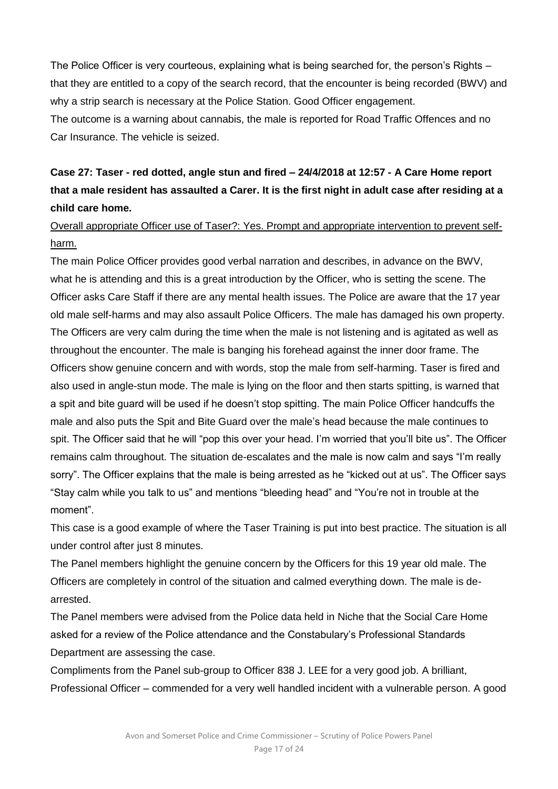The Police Officer is very courteous, explaining what is being searched for, the person's Rights – that they are entitled to a copy of the search record, that the encounter is being recorded (BWV) and why a strip search is necessary at the Police Station. Good Officer engagement. The outcome is a warning about cannabis, the male is reported for Road Traffic Offences and no Car Insurance. The vehicle is seized.

# **Case 27: Taser - red dotted, angle stun and fired – 24/4/2018 at 12:57 - A Care Home report that a male resident has assaulted a Carer. It is the first night in adult case after residing at a child care home.**

### Overall appropriate Officer use of Taser?: Yes. Prompt and appropriate intervention to prevent selfharm.

The main Police Officer provides good verbal narration and describes, in advance on the BWV, what he is attending and this is a great introduction by the Officer, who is setting the scene. The Officer asks Care Staff if there are any mental health issues. The Police are aware that the 17 year old male self-harms and may also assault Police Officers. The male has damaged his own property. The Officers are very calm during the time when the male is not listening and is agitated as well as throughout the encounter. The male is banging his forehead against the inner door frame. The Officers show genuine concern and with words, stop the male from self-harming. Taser is fired and also used in angle-stun mode. The male is lying on the floor and then starts spitting, is warned that a spit and bite guard will be used if he doesn't stop spitting. The main Police Officer handcuffs the male and also puts the Spit and Bite Guard over the male's head because the male continues to spit. The Officer said that he will "pop this over your head. I'm worried that you'll bite us". The Officer remains calm throughout. The situation de-escalates and the male is now calm and says "I'm really sorry". The Officer explains that the male is being arrested as he "kicked out at us". The Officer says "Stay calm while you talk to us" and mentions "bleeding head" and "You're not in trouble at the moment".

This case is a good example of where the Taser Training is put into best practice. The situation is all under control after just 8 minutes.

The Panel members highlight the genuine concern by the Officers for this 19 year old male. The Officers are completely in control of the situation and calmed everything down. The male is dearrested.

The Panel members were advised from the Police data held in Niche that the Social Care Home asked for a review of the Police attendance and the Constabulary's Professional Standards Department are assessing the case.

Compliments from the Panel sub-group to Officer 838 J. LEE for a very good job. A brilliant, Professional Officer – commended for a very well handled incident with a vulnerable person. A good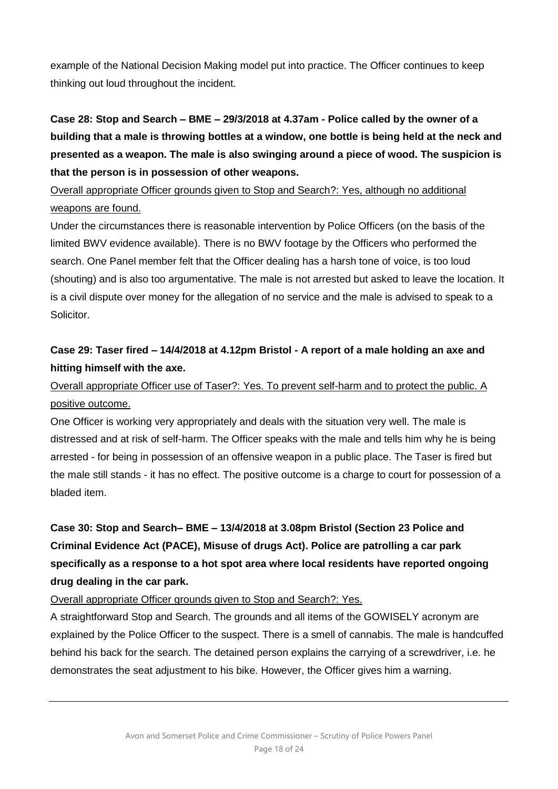example of the National Decision Making model put into practice. The Officer continues to keep thinking out loud throughout the incident.

# **Case 28: Stop and Search – BME – 29/3/2018 at 4.37am - Police called by the owner of a building that a male is throwing bottles at a window, one bottle is being held at the neck and presented as a weapon. The male is also swinging around a piece of wood. The suspicion is that the person is in possession of other weapons.**

### Overall appropriate Officer grounds given to Stop and Search?: Yes, although no additional weapons are found.

Under the circumstances there is reasonable intervention by Police Officers (on the basis of the limited BWV evidence available). There is no BWV footage by the Officers who performed the search. One Panel member felt that the Officer dealing has a harsh tone of voice, is too loud (shouting) and is also too argumentative. The male is not arrested but asked to leave the location. It is a civil dispute over money for the allegation of no service and the male is advised to speak to a Solicitor.

# **Case 29: Taser fired – 14/4/2018 at 4.12pm Bristol - A report of a male holding an axe and hitting himself with the axe.**

# Overall appropriate Officer use of Taser?: Yes. To prevent self-harm and to protect the public. A positive outcome.

One Officer is working very appropriately and deals with the situation very well. The male is distressed and at risk of self-harm. The Officer speaks with the male and tells him why he is being arrested - for being in possession of an offensive weapon in a public place. The Taser is fired but the male still stands - it has no effect. The positive outcome is a charge to court for possession of a bladed item.

# **Case 30: Stop and Search– BME – 13/4/2018 at 3.08pm Bristol (Section 23 Police and Criminal Evidence Act (PACE), Misuse of drugs Act). Police are patrolling a car park specifically as a response to a hot spot area where local residents have reported ongoing drug dealing in the car park.**

### Overall appropriate Officer grounds given to Stop and Search?: Yes.

A straightforward Stop and Search. The grounds and all items of the GOWISELY acronym are explained by the Police Officer to the suspect. There is a smell of cannabis. The male is handcuffed behind his back for the search. The detained person explains the carrying of a screwdriver, i.e. he demonstrates the seat adjustment to his bike. However, the Officer gives him a warning.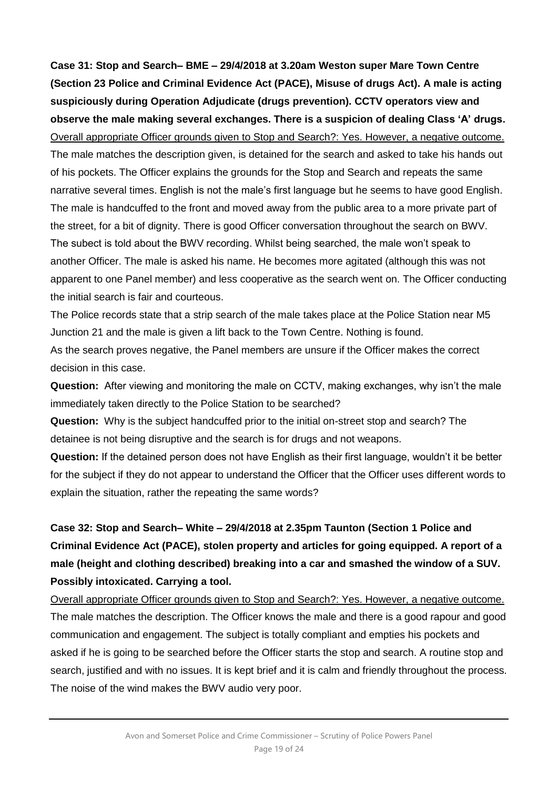**Case 31: Stop and Search– BME – 29/4/2018 at 3.20am Weston super Mare Town Centre (Section 23 Police and Criminal Evidence Act (PACE), Misuse of drugs Act). A male is acting suspiciously during Operation Adjudicate (drugs prevention). CCTV operators view and observe the male making several exchanges. There is a suspicion of dealing Class 'A' drugs.**  Overall appropriate Officer grounds given to Stop and Search?: Yes. However, a negative outcome.

The male matches the description given, is detained for the search and asked to take his hands out of his pockets. The Officer explains the grounds for the Stop and Search and repeats the same narrative several times. English is not the male's first language but he seems to have good English. The male is handcuffed to the front and moved away from the public area to a more private part of the street, for a bit of dignity. There is good Officer conversation throughout the search on BWV. The subect is told about the BWV recording. Whilst being searched, the male won't speak to another Officer. The male is asked his name. He becomes more agitated (although this was not apparent to one Panel member) and less cooperative as the search went on. The Officer conducting the initial search is fair and courteous.

The Police records state that a strip search of the male takes place at the Police Station near M5 Junction 21 and the male is given a lift back to the Town Centre. Nothing is found.

As the search proves negative, the Panel members are unsure if the Officer makes the correct decision in this case.

**Question:** After viewing and monitoring the male on CCTV, making exchanges, why isn't the male immediately taken directly to the Police Station to be searched?

**Question:** Why is the subject handcuffed prior to the initial on-street stop and search? The detainee is not being disruptive and the search is for drugs and not weapons.

**Question:** If the detained person does not have English as their first language, wouldn't it be better for the subject if they do not appear to understand the Officer that the Officer uses different words to explain the situation, rather the repeating the same words?

# **Case 32: Stop and Search– White – 29/4/2018 at 2.35pm Taunton (Section 1 Police and Criminal Evidence Act (PACE), stolen property and articles for going equipped. A report of a male (height and clothing described) breaking into a car and smashed the window of a SUV. Possibly intoxicated. Carrying a tool.**

Overall appropriate Officer grounds given to Stop and Search?: Yes. However, a negative outcome. The male matches the description. The Officer knows the male and there is a good rapour and good communication and engagement. The subject is totally compliant and empties his pockets and asked if he is going to be searched before the Officer starts the stop and search. A routine stop and search, justified and with no issues. It is kept brief and it is calm and friendly throughout the process. The noise of the wind makes the BWV audio very poor.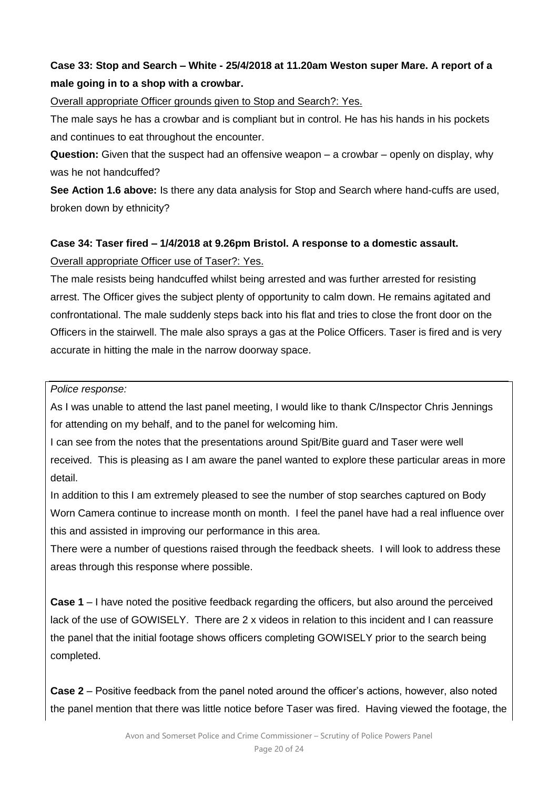# **Case 33: Stop and Search – White - 25/4/2018 at 11.20am Weston super Mare. A report of a male going in to a shop with a crowbar.**

Overall appropriate Officer grounds given to Stop and Search?: Yes.

The male says he has a crowbar and is compliant but in control. He has his hands in his pockets and continues to eat throughout the encounter.

**Question:** Given that the suspect had an offensive weapon – a crowbar – openly on display, why was he not handcuffed?

**See Action 1.6 above:** Is there any data analysis for Stop and Search where hand-cuffs are used, broken down by ethnicity?

### **Case 34: Taser fired – 1/4/2018 at 9.26pm Bristol. A response to a domestic assault.**

### Overall appropriate Officer use of Taser?: Yes.

The male resists being handcuffed whilst being arrested and was further arrested for resisting arrest. The Officer gives the subject plenty of opportunity to calm down. He remains agitated and confrontational. The male suddenly steps back into his flat and tries to close the front door on the Officers in the stairwell. The male also sprays a gas at the Police Officers. Taser is fired and is very accurate in hitting the male in the narrow doorway space.

*Police response:*

As I was unable to attend the last panel meeting, I would like to thank C/Inspector Chris Jennings for attending on my behalf, and to the panel for welcoming him.

I can see from the notes that the presentations around Spit/Bite guard and Taser were well received. This is pleasing as I am aware the panel wanted to explore these particular areas in more detail.

In addition to this I am extremely pleased to see the number of stop searches captured on Body Worn Camera continue to increase month on month. I feel the panel have had a real influence over this and assisted in improving our performance in this area.

There were a number of questions raised through the feedback sheets. I will look to address these areas through this response where possible.

**Case 1** – I have noted the positive feedback regarding the officers, but also around the perceived lack of the use of GOWISELY. There are 2 x videos in relation to this incident and I can reassure the panel that the initial footage shows officers completing GOWISELY prior to the search being completed.

**Case 2** – Positive feedback from the panel noted around the officer's actions, however, also noted the panel mention that there was little notice before Taser was fired. Having viewed the footage, the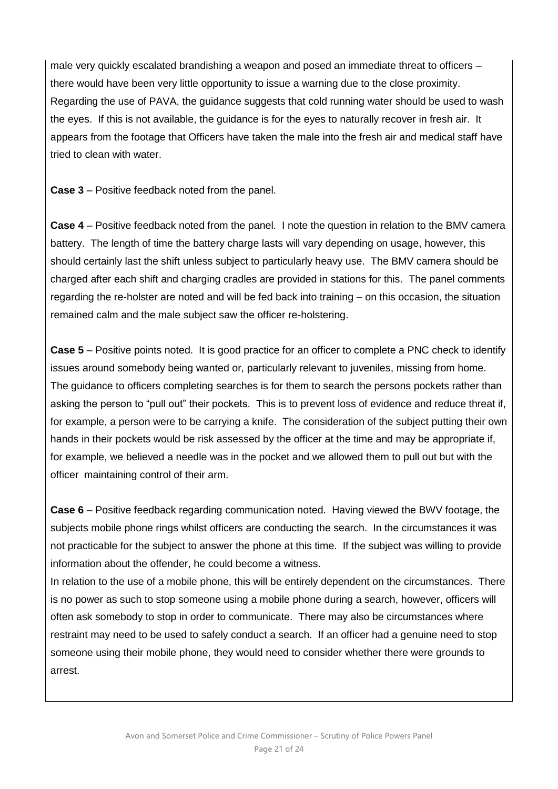male very quickly escalated brandishing a weapon and posed an immediate threat to officers – there would have been very little opportunity to issue a warning due to the close proximity. Regarding the use of PAVA, the guidance suggests that cold running water should be used to wash the eyes. If this is not available, the guidance is for the eyes to naturally recover in fresh air. It appears from the footage that Officers have taken the male into the fresh air and medical staff have tried to clean with water.

**Case 3** – Positive feedback noted from the panel.

**Case 4** – Positive feedback noted from the panel. I note the question in relation to the BMV camera battery. The length of time the battery charge lasts will vary depending on usage, however, this should certainly last the shift unless subject to particularly heavy use. The BMV camera should be charged after each shift and charging cradles are provided in stations for this. The panel comments regarding the re-holster are noted and will be fed back into training – on this occasion, the situation remained calm and the male subject saw the officer re-holstering.

**Case 5** – Positive points noted. It is good practice for an officer to complete a PNC check to identify issues around somebody being wanted or, particularly relevant to juveniles, missing from home. The guidance to officers completing searches is for them to search the persons pockets rather than asking the person to "pull out" their pockets. This is to prevent loss of evidence and reduce threat if, for example, a person were to be carrying a knife. The consideration of the subject putting their own hands in their pockets would be risk assessed by the officer at the time and may be appropriate if, for example, we believed a needle was in the pocket and we allowed them to pull out but with the officer maintaining control of their arm.

**Case 6** – Positive feedback regarding communication noted. Having viewed the BWV footage, the subjects mobile phone rings whilst officers are conducting the search. In the circumstances it was not practicable for the subject to answer the phone at this time. If the subject was willing to provide information about the offender, he could become a witness.

In relation to the use of a mobile phone, this will be entirely dependent on the circumstances. There is no power as such to stop someone using a mobile phone during a search, however, officers will often ask somebody to stop in order to communicate. There may also be circumstances where restraint may need to be used to safely conduct a search. If an officer had a genuine need to stop someone using their mobile phone, they would need to consider whether there were grounds to arrest.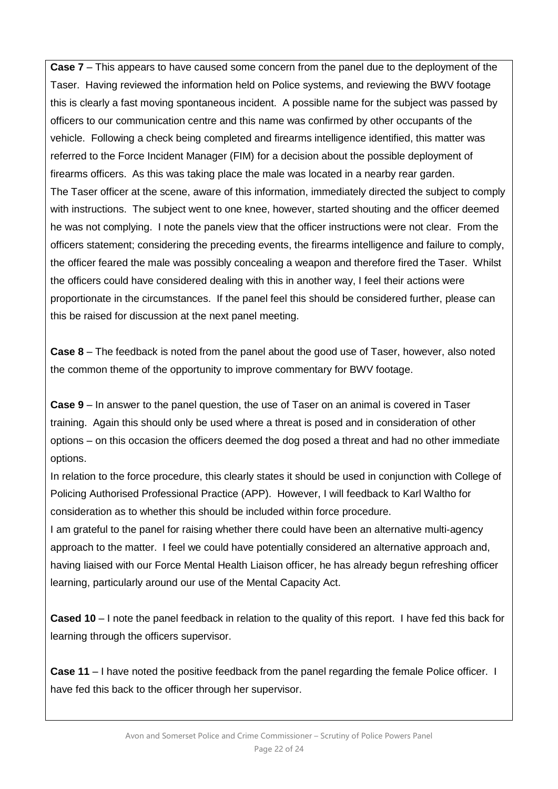**Case 7** – This appears to have caused some concern from the panel due to the deployment of the Taser. Having reviewed the information held on Police systems, and reviewing the BWV footage this is clearly a fast moving spontaneous incident. A possible name for the subject was passed by officers to our communication centre and this name was confirmed by other occupants of the vehicle. Following a check being completed and firearms intelligence identified, this matter was referred to the Force Incident Manager (FIM) for a decision about the possible deployment of firearms officers. As this was taking place the male was located in a nearby rear garden. The Taser officer at the scene, aware of this information, immediately directed the subject to comply with instructions. The subject went to one knee, however, started shouting and the officer deemed he was not complying. I note the panels view that the officer instructions were not clear. From the officers statement; considering the preceding events, the firearms intelligence and failure to comply, the officer feared the male was possibly concealing a weapon and therefore fired the Taser. Whilst the officers could have considered dealing with this in another way, I feel their actions were proportionate in the circumstances. If the panel feel this should be considered further, please can this be raised for discussion at the next panel meeting.

**Case 8** – The feedback is noted from the panel about the good use of Taser, however, also noted the common theme of the opportunity to improve commentary for BWV footage.

**Case 9** – In answer to the panel question, the use of Taser on an animal is covered in Taser training. Again this should only be used where a threat is posed and in consideration of other options – on this occasion the officers deemed the dog posed a threat and had no other immediate options.

In relation to the force procedure, this clearly states it should be used in conjunction with College of Policing Authorised Professional Practice (APP). However, I will feedback to Karl Waltho for consideration as to whether this should be included within force procedure.

I am grateful to the panel for raising whether there could have been an alternative multi-agency approach to the matter. I feel we could have potentially considered an alternative approach and, having liaised with our Force Mental Health Liaison officer, he has already begun refreshing officer learning, particularly around our use of the Mental Capacity Act.

**Cased 10** – I note the panel feedback in relation to the quality of this report. I have fed this back for learning through the officers supervisor.

**Case 11** – I have noted the positive feedback from the panel regarding the female Police officer. I have fed this back to the officer through her supervisor.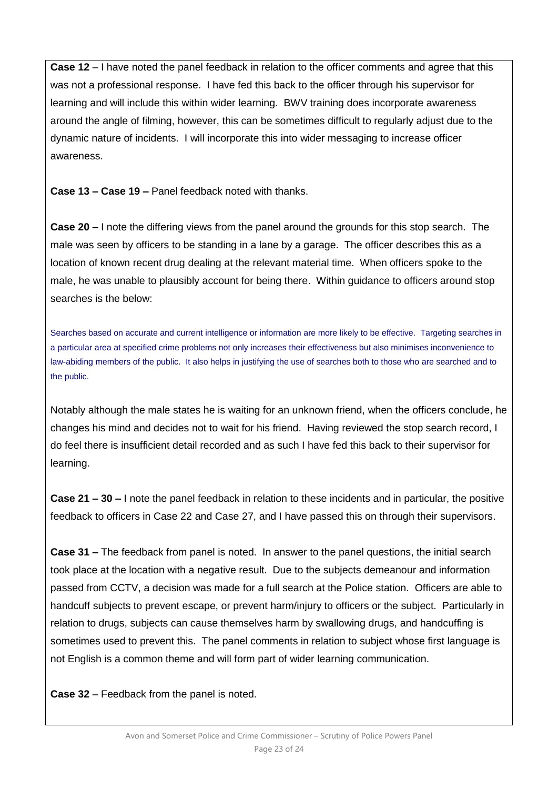**Case 12** – I have noted the panel feedback in relation to the officer comments and agree that this was not a professional response. I have fed this back to the officer through his supervisor for learning and will include this within wider learning. BWV training does incorporate awareness around the angle of filming, however, this can be sometimes difficult to regularly adjust due to the dynamic nature of incidents. I will incorporate this into wider messaging to increase officer awareness.

**Case 13 – Case 19 –** Panel feedback noted with thanks.

**Case 20 –** I note the differing views from the panel around the grounds for this stop search. The male was seen by officers to be standing in a lane by a garage. The officer describes this as a location of known recent drug dealing at the relevant material time. When officers spoke to the male, he was unable to plausibly account for being there. Within guidance to officers around stop searches is the below:

Searches based on accurate and current intelligence or information are more likely to be effective. Targeting searches in a particular area at specified crime problems not only increases their effectiveness but also minimises inconvenience to law-abiding members of the public. It also helps in justifying the use of searches both to those who are searched and to the public.

Notably although the male states he is waiting for an unknown friend, when the officers conclude, he changes his mind and decides not to wait for his friend. Having reviewed the stop search record, I do feel there is insufficient detail recorded and as such I have fed this back to their supervisor for learning.

**Case 21 – 30 –** I note the panel feedback in relation to these incidents and in particular, the positive feedback to officers in Case 22 and Case 27, and I have passed this on through their supervisors.

**Case 31 –** The feedback from panel is noted. In answer to the panel questions, the initial search took place at the location with a negative result. Due to the subjects demeanour and information passed from CCTV, a decision was made for a full search at the Police station. Officers are able to handcuff subjects to prevent escape, or prevent harm/injury to officers or the subject. Particularly in relation to drugs, subjects can cause themselves harm by swallowing drugs, and handcuffing is sometimes used to prevent this. The panel comments in relation to subject whose first language is not English is a common theme and will form part of wider learning communication.

**Case 32** – Feedback from the panel is noted.